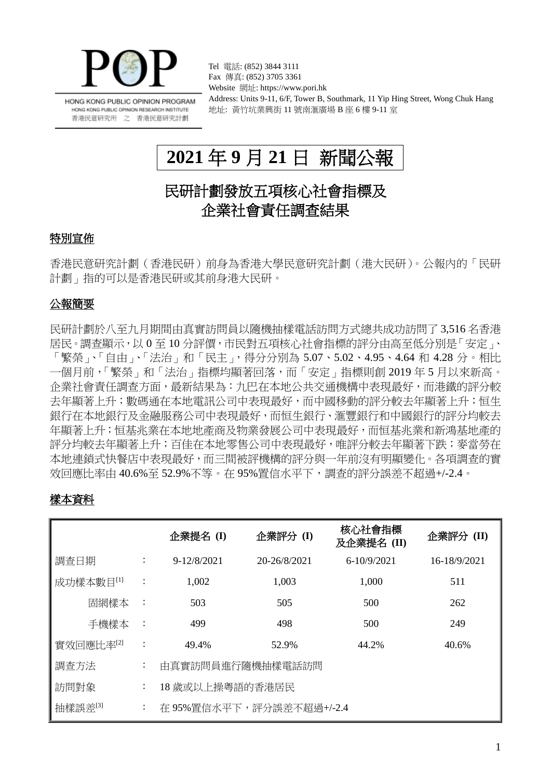

HONG KONG PUBLIC OPINION PROGRAM HONG KONG PUBLIC OPINION RESEARCH INSTITUTE 香港民意研究所 之 香港民意研究計劃

Tel 電話: (852) 3844 3111 Fax 傳真: (852) 3705 3361 Website 網址: https://www.pori.hk Address: Units 9-11, 6/F, Tower B, Southmark, 11 Yip Hing Street, Wong Chuk Hang 地址: 黃竹坑業興街 11 號南滙廣場 B 座 6 樓 9-11 室

# **2021** 年 **9** 月 **21** 日 新聞公報

# 民研計劃發放五項核心社會指標及 企業社會責任調查結果

## 特別宣佈

香港民意研究計劃(香港民研)前身為香港大學民意研究計劃(港大民研)。公報內的「民研 計劃」指的可以是香港民研或其前身港大民研。

### 公報簡要

民研計劃於八至九月期間由真實訪問員以隨機抽樣電話訪問方式總共成功訪問了 3,516 名香港 居民。調查顯示,以 0 至 10 分評價,市民對五項核心社會指標的評分由高至低分別是「安定」、 「繁榮」、「自由」、「法治」和「民主」,得分分別為 5.07、5.02、4.95、4.64 和 4.28 分。相比 一個月前,「繁榮」和「法治」指標均顯著回落,而「安定」指標則創 2019 年 5 月以來新高。 企業社會責任調查方面,最新結果為:九巴在本地公共交通機構中表現最好,而港鐵的評分較 去年顯著上升;數碼通在本地電訊公司中表現最好,而中國移動的評分較去年顯著上升;恒生 銀行在本地銀行及金融服務公司中表現最好,而恒生銀行、滙豐銀行和中國銀行的評分均較去 年顯著上升;恒基兆業在本地地產商及物業發展公司中表現最好,而恒基兆業和新鴻基地產的 評分均較去年顯著上升;百佳在本地零售公司中表現最好,唯評分較去年顯著下跌;麥當勞在 本地連鎖式快餐店中表現最好,而三間被評機構的評分與一年前沒有明顯變化。各項調查的實 效回應比率由 40.6%至 52.9%不等。在 95%置信水平下,調杳的評分誤差不超過+/-2.4。

# 樣本資料

|           |                | 企業提名(I)                  | 企業評分 (I)     | 核心社會指標<br>及企業提名(II) | 企業評分 (II)    |  |
|-----------|----------------|--------------------------|--------------|---------------------|--------------|--|
| 調查日期      | $\ddot{\cdot}$ | $9 - 12/8/2021$          | 20-26/8/2021 | $6-10/9/2021$       | 16-18/9/2021 |  |
| 成功樣本數目[1] | $\ddot{\cdot}$ | 1,002                    | 1,003        | 1,000               | 511          |  |
| 固網樣本      | $\ddot{\cdot}$ | 503                      | 505          | 500                 | 262          |  |
| 手機樣本      | $\ddot{\cdot}$ | 499                      | 498          | 500                 | 249          |  |
| 實效回應比率[2] | $\ddot{\cdot}$ | 49.4%                    | 52.9%        | 44.2%               | 40.6%        |  |
| 調査方法      | $\ddot{\cdot}$ | 由真實訪問員進行隨機抽樣電話訪問         |              |                     |              |  |
| 訪問對象      | $\ddot{\cdot}$ | 18 歲或以上操粵語的香港居民          |              |                     |              |  |
| 抽樣誤差[3]   | $\ddot{\cdot}$ | 在 95%置信水平下,評分誤差不超過+/-2.4 |              |                     |              |  |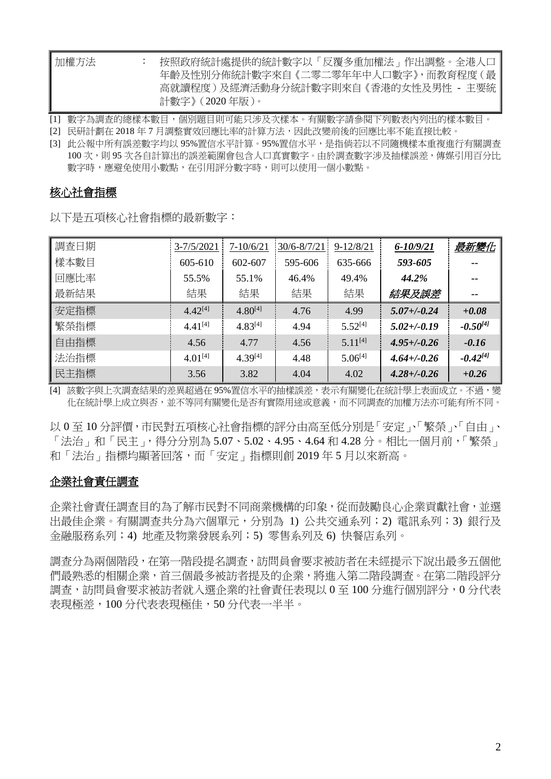| 加權方法 | 按照政府統計處提供的統計數字以「反覆多重加權法」作出調整。全港人口     |
|------|---------------------------------------|
|      | 年齡及性別分佈統計數字來自 《二零二零年年中人口數字》,而教育程度 ( 最 |
|      | 高就讀程度)及經濟活動身分統計數字則來自《香港的女性及男性 - 主要統   |
|      | 計數字》 ( 2020 年版 )。                     |

[1] 數字為調查的總樣本數目,個別題目則可能只涉及次樣本。有關數字請參閱下列數表內列出的樣本數目。

[2] 民研計劃在 2018 年 7 月調整實效回應比率的計算方法,因此改變前後的回應比率不能直接比較。

[3] 此公報中所有誤差數字均以 95%置信水平計算。95%置信水平,是指倘若以不同隨機樣本重複進行有關調查 100 次,則 95 次各自計算出的誤差範圍會包含人口真實數字。由於調查數字涉及抽樣誤差,傳媒引用百分比 數字時,應避免使用小數點,在引用評分數字時,則可以使用一個小數點。

### 核心社會指標

以下是五項核心社會指標的最新數字:

| 調査日期 | $3 - 7/5/2021$ | $7 - 10/6/21$ | $30/6 - 8/7/21$ | $9 - 12/8/21$ | $6 - 10/9/21$    | 最新變化          |
|------|----------------|---------------|-----------------|---------------|------------------|---------------|
| 樣本數目 | $605 - 610$    | 602-607       | 595-606         | 635-666       | 593-605          |               |
| 回應比率 | 55.5%          | 55.1%         | 46.4%           | 49.4%         | 44.2%            | --            |
| 最新結果 | 結果             | 結果            | 結果              | 結果            | 結果及誤差            | $- -$         |
| 安定指標 | $4.42^{[4]}$   | $4.80^{[4]}$  | 4.76            | 4.99          | $5.07 + (-0.24)$ | $+0.08$       |
| 繁榮指標 | $4.41^{[4]}$   | $4.83^{[4]}$  | 4.94            | $5.52^{[4]}$  | $5.02 + (-0.19)$ | $-0.50^{[4]}$ |
| 自由指標 | 4.56           | 4.77          | 4.56            | $5.11^{[4]}$  | $4.95 + (-0.26)$ | $-0.16$       |
| 法治指標 | $4.01^{[4]}$   | $4.39^{[4]}$  | 4.48            | $5.06^{[4]}$  | $4.64 + (-0.26)$ | $-0.42^{[4]}$ |
| 民主指標 | 3.56           | 3.82          | 4.04            | 4.02          | $4.28 + (-0.26)$ | $+0.26$       |

[4] 該數字與上次調查結果的差異超過在 95%置信水平的抽樣誤差,表示有關變化在統計學上表面成立。不過,變 化在統計學上成立與否,並不等同有關變化是否有實際用途或意義,而不同調查的加權方法亦可能有所不同。

以 0 至 10 分評價,市民對五項核心社會指標的評分由高至低分別是「安定」、「繁榮」、「自由」、 「法治」和「民主」,得分分別為 5.07、5.02、4.95、4.64 和 4.28 分。相比一個月前,「繁榮」 和「法治」指標均顯著回落,而「安定」指標則創 2019 年 5 月以來新高。

### 企業社會責任調查

企業社會責任調查目的為了解市民對不同商業機構的印象,從而鼓勵良心企業貢獻社會,並選 出最佳企業。有關調查共分為六個單元,分別為 1) 公共交通系列;2) 電訊系列;3) 銀行及 金融服務系列;4) 地產及物業發展系列;5) 零售系列及 6) 快餐店系列。

調查分為兩個階段,在第一階段提名調查,訪問員會要求被訪者在未經提示下說出最多五個他 們最熟悉的相關企業,首三個最多被訪者提及的企業,將進入第二階段調查。在第二階段評分 調查,訪問員會要求被訪者就入選企業的社會責任表現以 0 至 100 分進行個別評分,0 分代表 表現極差,100 分代表表現極佳,50 分代表一半半。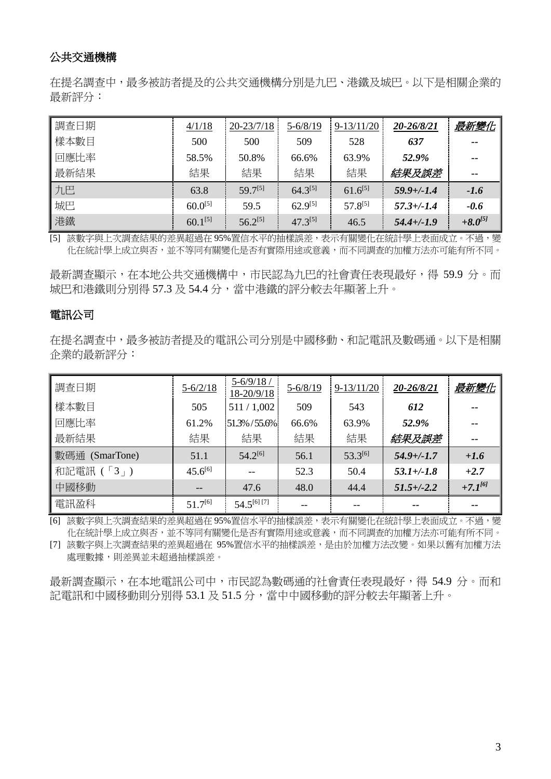## 公共交通機構

在提名調查中,最多被訪者提及的公共交通機構分別是九巴、港鐵及城巴。以下是相關企業的 最新評分:

| 調査日期 | 4/1/18       | $20 - 23/7/18$ | $5 - 6/8/19$ | $9 - 13/11/20$ | 20-26/8/21      | <u>最新變化</u>  |
|------|--------------|----------------|--------------|----------------|-----------------|--------------|
| 樣本數目 | 500          | 500            | 509          | 528            | 637             | --           |
| 回應比率 | 58.5%        | 50.8%          | 66.6%        | 63.9%          | 52.9%           | $- -$        |
| 最新結果 | 結果           | 結果             | 結果           | 結果             | 結果及誤差           | $- -$        |
| 九巴   | 63.8         | $59.7^{[5]}$   | $64.3^{[5]}$ | $61.6^{[5]}$   | $59.9 + (-1.4)$ | $-1.6$       |
| 城巴   | $60.0^{[5]}$ | 59.5           | $62.9^{[5]}$ | $57.8^{[5]}$   | $57.3 + (-1.4)$ | $-0.6$       |
| 港鐵   | $60.1^{[5]}$ | $56.2^{[5]}$   | $47.3^{[5]}$ | 46.5           | $54.4 + (-1.9)$ | $+8.0^{[5]}$ |

[5] 該數字與上次調查結果的差異超過在 95%置信水平的抽樣誤差,表示有關變化在統計學上表面成立。不過,變 化在統計學上成立與否,並不等同有關變化是否有實際用途或意義,而不同調查的加權方法亦可能有所不同。

最新調查顯示,在本地公共交通機構中,市民認為九巴的社會責任表現最好,得 59.9 分。而 城巴和港鐵則分別得 57.3 及 54.4 分,當中港鐵的評分較去年顯著上升。

### 電訊公司

在提名調查中,最多被訪者提及的電訊公司分別是中國移動、和記電訊及數碼通。以下是相關 企業的最新評分:

| 調査日期              | $5 - 6/2/18$ | $5 - 6/9/18$<br>18-20/9/18 | $5 - 6/8/19$ | $9-13/11/20$ | 20-26/8/21      | <u>最新變化</u>   |
|-------------------|--------------|----------------------------|--------------|--------------|-----------------|---------------|
| 樣本數目              | 505          | 511/1,002                  | 509          | 543          | 612             | --            |
| 回應比率              | 61.2%        | 51.3% / 55.6%              | 66.6%        | 63.9%        | 52.9%           |               |
| 最新結果              | 結果           | 結果                         | 結果           | 結果           | 結果及誤差           | $\sim$ $\sim$ |
| 數碼通<br>(SmarTone) | 51.1         | $54.2^{[6]}$               | 56.1         | $53.3^{[6]}$ | $54.9 + (-1.7)$ | $+1.6$        |
| 和記電訊 (「3」)        | $45.6^{[6]}$ |                            | 52.3         | 50.4         | $53.1 + (-1.8)$ | $+2.7$        |
| 中國移動              | $- -$        | 47.6                       | 48.0         | 44.4         | $51.5 + (-2.2)$ | $+7.1^{6}$    |
| 電訊盈科              | $51.7^{[6]}$ | 54.5[6][7]                 |              |              | --              |               |

[6] 該數字與上次調查結果的差異超過在 95%置信水平的抽樣誤差,表示有關變化在統計學上表面成立。不過,變 化在統計學上成立與否,並不等同有關變化是否有實際用途或意義,而不同調查的加權方法亦可能有所不同。

[7] 該數字與上次調查結果的差異超過在 95%置信水平的抽樣誤差,是由於加權方法改變。如果以舊有加權方法 處理數據,則差異並未超過抽樣誤差。

最新調查顯示,在本地電訊公司中,市民認為數碼通的社會責任表現最好,得 54.9 分。而和 記電訊和中國移動則分別得 53.1 及 51.5 分,當中中國移動的評分較去年顯著上升。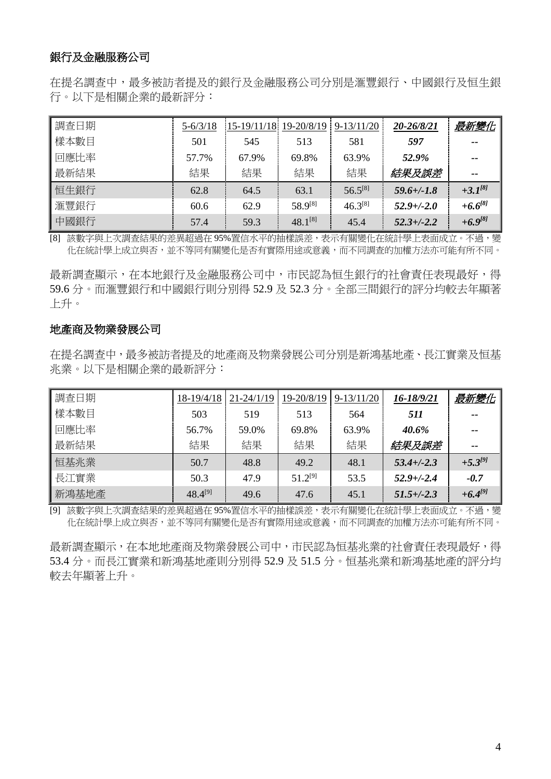### 銀行及金融服務公司

在提名調查中,最多被訪者提及的銀行及金融服務公司分別是滙豐銀行、中國銀行及恒生銀 行。以下是相關企業的最新評分:

| 調査日期 | $5 - 6/3/18$ | $15-19/11/18$ 19-20/8/19 |              | $9 - 13/11/20$ | 20-26/8/21      | 最新變化         |
|------|--------------|--------------------------|--------------|----------------|-----------------|--------------|
| 樣本數目 | 501          | 545                      | 513          | 581            | 597             | --           |
| 回應比率 | 57.7%        | 67.9%                    | 69.8%        | 63.9%          | 52.9%           | $- -$        |
| 最新結果 | 結果           | 結果                       | 結果           | 結果             | 結果及誤差           | --           |
| 恒生銀行 | 62.8         | 64.5                     | 63.1         | $56.5^{[8]}$   | $59.6 +/-1.8$   | $+3.1^{8}$   |
| 滙豐銀行 | 60.6         | 62.9                     | 58.9[8]      | $46.3^{[8]}$   | $52.9 + (-2.0)$ | $+6.6^{[8]}$ |
| 中國銀行 | 57.4         | 59.3                     | $48.1^{[8]}$ | 45.4           | $52.3 + (-2.2)$ | $+6.9^{[8]}$ |

[8] 該數字與上次調查結果的差異超過在 95%置信水平的抽樣誤差,表示有關變化在統計學上表面成立。不過,變 化在統計學上成立與否,並不等同有關變化是否有實際用途或意義,而不同調查的加權方法亦可能有所不同。

最新調查顯示,在本地銀行及金融服務公司中,市民認為恒生銀行的社會責任表現最好,得 59.6 分。而滙豐銀行和中國銀行則分別得 52.9 及 52.3 分。全部三間銀行的評分均較去年顯著 上升。

### 地產商及物業發展公司

在提名調查中,最多被訪者提及的地產商及物業發展公司分別是新鴻基地產、長江實業及恒基 兆業。以下是相關企業的最新評分:

| 調査日期  | 18-19/4/18   | 21-24/1/19 | 19-20/8/19   | $9-13/11/20$ | 16-18/9/21      | <u>最新變化</u>   |
|-------|--------------|------------|--------------|--------------|-----------------|---------------|
| 樣本數目  | 503          | 519        | 513          | 564          | 511             | --            |
| 回應比率  | 56.7%        | 59.0%      | 69.8%        | 63.9%        | 40.6%           | --            |
| 最新結果  | 結果           | 結果         | 結果           | 結果           | 結果及誤差           | $\sim$ $\sim$ |
| 恒基兆業  | 50.7         | 48.8       | 49.2         | 48.1         | $53.4 + (-2.3)$ | $+5.3^{[9]}$  |
| 長江實業  | 50.3         | 47.9       | $51.2^{[9]}$ | 53.5         | $52.9 + (-2.4)$ | $-0.7$        |
| 新鴻基地產 | $48.4^{[9]}$ | 49.6       | 47.6         | 45.1         | $51.5 + (-2.3)$ | $+6.4^{[9]}$  |

[9] 該數字與上次調查結果的差異超過在 95%置信水平的抽樣誤差,表示有關變化在統計學上表面成立。不過,變 化在統計學上成立與否,並不等同有關變化是否有實際用途或意義,而不同調查的加權方法亦可能有所不同。

最新調查顯示,在本地地產商及物業發展公司中,市民認為恒基兆業的社會責任表現最好,得 53.4 分。而長江實業和新鴻基地產則分別得 52.9 及 51.5 分。恒基兆業和新鴻基地產的評分均 較去年顯著上升。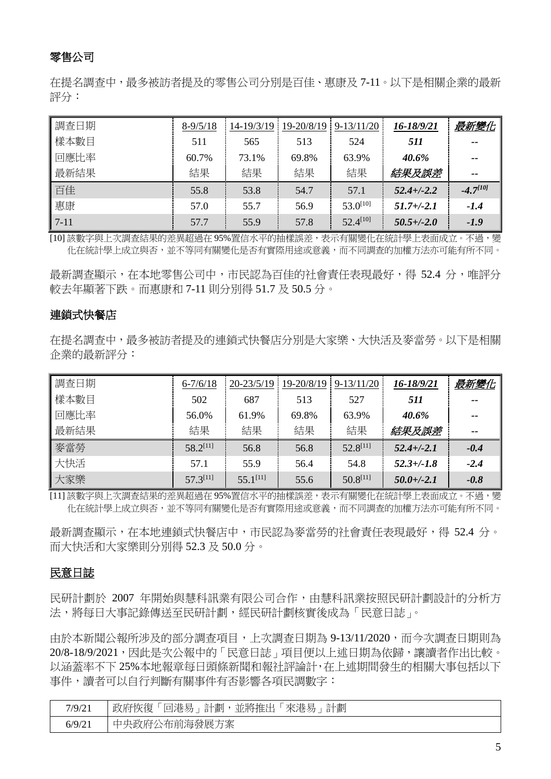## 零售公司

在提名調查中,最多被訪者提及的零售公司分別是百佳、惠康及 7-11。以下是相關企業的最新 評分:

| 調查日期     | $8-9/5/18$ | 14-19/3/19 | 19-20/8/19 | $9-13/11/20$  | 16-18/9/21      | 最新變化          |
|----------|------------|------------|------------|---------------|-----------------|---------------|
| 樣本數目     | 511        | 565        | 513        | 524           | 511             | $- -$         |
| 回應比率     | 60.7%      | 73.1%      | 69.8%      | 63.9%         | 40.6%           | $- -$         |
| 最新結果     | 結果         | 結果         | 結果         | 結果            | 結果及誤差           | $- -$         |
| 百佳       | 55.8       | 53.8       | 54.7       | 57.1          | $52.4 + (-2.2)$ | $-4.7^{[10]}$ |
| 惠康       | 57.0       | 55.7       | 56.9       | $53.0^{[10]}$ | $51.7 + (-2.1)$ | $-1.4$        |
| $7 - 11$ | 57.7       | 55.9       | 57.8       | $52.4^{[10]}$ | $50.5 + (-2.0)$ | $-1.9$        |

[10] 該數字與上次調查結果的差異超過在 95%置信水平的抽樣誤差,表示有關變化在統計學上表面成立。不過,變 化在統計學上成立與否,並不等同有關變化是否有實際用途或意義,而不同調查的加權方法亦可能有所不同。

最新調查顯示,在本地零售公司中,市民認為百佳的社會責任表現最好,得 52.4 分,唯評分 較去年顯著下跌。而惠康和 7-11 則分別得 51.7 及 50.5 分。

### 連鎖式快餐店

在提名調查中,最多被訪者提及的連鎖式快餐店分別是大家樂、大快活及麥當勞。以下是相關 企業的最新評分:

| 調査日期 | $6 - 7/6/18$  | $20 - 23/5/19$ | $19 - 20/8/19$ | $9 - 13/11/20$ | 16-18/9/21      | 最新變化   |
|------|---------------|----------------|----------------|----------------|-----------------|--------|
| 樣本數目 | 502           | 687            | 513            | 527            | 511             | $- -$  |
| 回應比率 | 56.0%         | 61.9%          | 69.8%          | 63.9%          | 40.6%           | $- -$  |
| 最新結果 | 結果            | 結果             | 結果             | 結果             | 結果及誤差           | $- -$  |
| 麥當勞  | $58.2^{[11]}$ | 56.8           | 56.8           | $52.8^{[11]}$  | $52.4 + (-2.1)$ | $-0.4$ |
| 大快活  | 57.1          | 55.9           | 56.4           | 54.8           | $52.3 + (-1.8)$ | $-2.4$ |
| 大家樂  | $57.3^{[11]}$ | $55.1^{[11]}$  | 55.6           | $50.8^{[11]}$  | $50.0 + (-2.1)$ | $-0.8$ |

[11] 該數字與上次調查結果的差異超過在 95%置信水平的抽樣誤差,表示有關變化在統計學上表面成立。不過,變 化在統計學上成立與否,並不等同有關變化是否有實際用途或意義,而不同調查的加權方法亦可能有所不同。

最新調查顯示,在本地連鎖式快餐店中,市民認為麥當勞的社會責任表現最好,得 52.4 分。 而大快活和大家樂則分別得 52.3 及 50.0 分。

### 民意日誌

民研計劃於 2007 年開始與慧科訊業有限公司合作,由慧科訊業按照民研計劃設計的分析方 法,將每日大事記錄傳送至民研計劃,經民研計劃核實後成為「民意日誌」。

由於本新聞公報所涉及的部分調查項目,上次調查日期為 9-13/11/2020,而今次調查日期則為 20/8-18/9/2021,因此是次公報中的「民意日誌」項目便以上述日期為依歸,讓讀者作出比較。 以涵蓋率不下 25%本地報章每日頭條新聞和報社評論計,在上述期間發生的相關大事包括以下 事件,讀者可以自行判斷有關事件有否影響各項民調數字:

| 7/9/21 | 政府恢復<br>並將推出<br>來港易<br>計劃<br>「回港易」<br>計劃 |
|--------|------------------------------------------|
| 6/9/21 | 中央政府公布前海發展方案                             |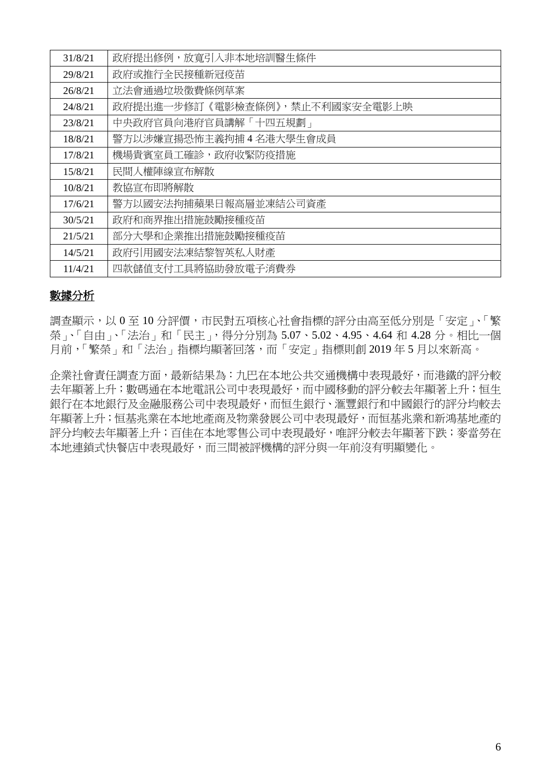| 31/8/21 | 政府提出修例,放寬引入非本地培訓醫生條件           |
|---------|--------------------------------|
| 29/8/21 | 政府或推行全民接種新冠疫苗                  |
| 26/8/21 | 立法會通過垃圾徵費條例草案                  |
| 24/8/21 | 政府提出進一步修訂《電影檢查條例》,禁止不利國家安全電影上映 |
| 23/8/21 | 中央政府官員向港府官員講解「十四五規劃」           |
| 18/8/21 | 警方以涉嫌宣揚恐怖主義拘捕4名港大學生會成員         |
| 17/8/21 | 機場貴賓室員工確診,政府收緊防疫措施             |
| 15/8/21 | 民間人權陣線宣布解散                     |
| 10/8/21 | 教協宣布即將解散                       |
| 17/6/21 | 警方以國安法拘捕蘋果日報高層並凍結公司資產          |
| 30/5/21 | 政府和商界推出措施鼓勵接種疫苗                |
| 21/5/21 | 部分大學和企業推出措施鼓勵接種疫苗              |
| 14/5/21 | 政府引用國安法凍結黎智英私人財產               |
| 11/4/21 | 四款儲值支付工具將協助發放電子消費券             |

### 數據分析

調查顯示,以 0 至 10 分評價,市民對五項核心社會指標的評分由高至低分別是「安定」、「繁 榮」、「自由」、「法治」和「民主」,得分分別為 5.07、5.02、4.95、4.64 和 4.28 分。相比一個 月前,「繁榮」和「法治」指標均顯著回落,而「安定」指標則創 2019 年 5 月以來新高。

企業社會責任調查方面,最新結果為:九巴在本地公共交通機構中表現最好,而港鐵的評分較 去年顯著上升;數碼通在本地電訊公司中表現最好,而中國移動的評分較去年顯著上升;恒生 銀行在本地銀行及金融服務公司中表現最好,而恒生銀行、滙豐銀行和中國銀行的評分均較去 年顯著上升;恒基兆業在本地地產商及物業發展公司中表現最好,而恒基兆業和新鴻基地產的 評分均較去年顯著上升;百佳在本地零售公司中表現最好,唯評分較去年顯著下跌;麥當勞在 本地連鎖式快餐店中表現最好,而三間被評機構的評分與一年前沒有明顯變化。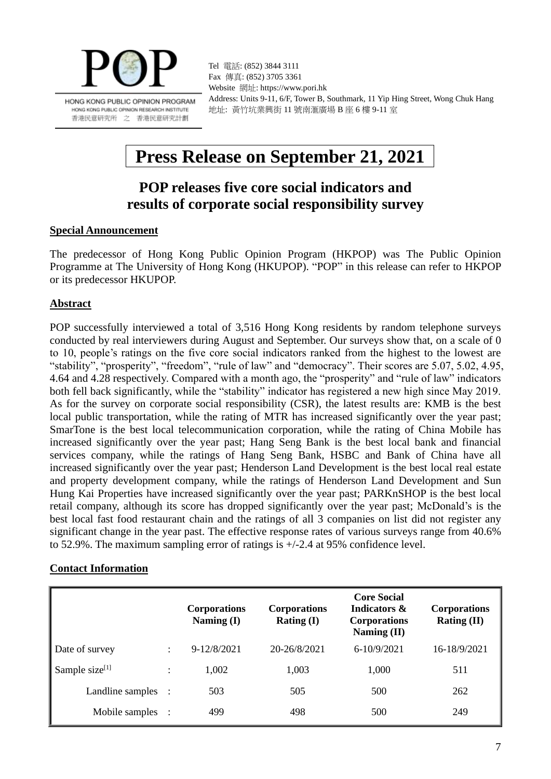

HONG KONG PUBLIC OPINION PROGRAM HONG KONG PUBLIC OPINION RESEARCH INSTITUTE 香港民意研究所 之 香港民意研究計劃

Tel 電話: (852) 3844 3111 Fax 傳真: (852) 3705 3361 Website 網址: https://www.pori.hk Address: Units 9-11, 6/F, Tower B, Southmark, 11 Yip Hing Street, Wong Chuk Hang 地址: 黃竹坑業興街 11 號南滙廣場 B 座 6 樓 9-11 室

# **Press Release on September 21, 2021**

# **POP releases five core social indicators and results of corporate social responsibility survey**

### **Special Announcement**

The predecessor of Hong Kong Public Opinion Program (HKPOP) was The Public Opinion Programme at The University of Hong Kong (HKUPOP). "POP" in this release can refer to HKPOP or its predecessor HKUPOP.

### **Abstract**

POP successfully interviewed a total of 3,516 Hong Kong residents by random telephone surveys conducted by real interviewers during August and September. Our surveys show that, on a scale of 0 to 10, people's ratings on the five core social indicators ranked from the highest to the lowest are "stability", "prosperity", "freedom", "rule of law" and "democracy". Their scores are 5.07, 5.02, 4.95, 4.64 and 4.28 respectively. Compared with a month ago, the "prosperity" and "rule of law" indicators both fell back significantly, while the "stability" indicator has registered a new high since May 2019. As for the survey on corporate social responsibility (CSR), the latest results are: KMB is the best local public transportation, while the rating of MTR has increased significantly over the year past; SmarTone is the best local telecommunication corporation, while the rating of China Mobile has increased significantly over the year past; Hang Seng Bank is the best local bank and financial services company, while the ratings of Hang Seng Bank, HSBC and Bank of China have all increased significantly over the year past; Henderson Land Development is the best local real estate and property development company, while the ratings of Henderson Land Development and Sun Hung Kai Properties have increased significantly over the year past; PARKnSHOP is the best local retail company, although its score has dropped significantly over the year past; McDonald's is the best local fast food restaurant chain and the ratings of all 3 companies on list did not register any significant change in the year past. The effective response rates of various surveys range from 40.6% to 52.9%. The maximum sampling error of ratings is +/-2.4 at 95% confidence level.

### **Contact Information**

|                   | <b>Corporations</b><br>Naming (I) | <b>Corporations</b><br>Rating $(I)$ | <b>Core Social</b><br>Indicators &<br><b>Corporations</b><br>Naming (II) | <b>Corporations</b><br><b>Rating (II)</b> |
|-------------------|-----------------------------------|-------------------------------------|--------------------------------------------------------------------------|-------------------------------------------|
| Date of survey    | $9 - 12/8/2021$                   | 20-26/8/2021                        | $6 - 10/9/2021$                                                          | 16-18/9/2021                              |
| Sample size $[1]$ | 1,002                             | 1,003                               | 1,000                                                                    | 511                                       |
| Landline samples  | 503                               | 505                                 | 500                                                                      | 262                                       |
| Mobile samples    | 499                               | 498                                 | 500                                                                      | 249                                       |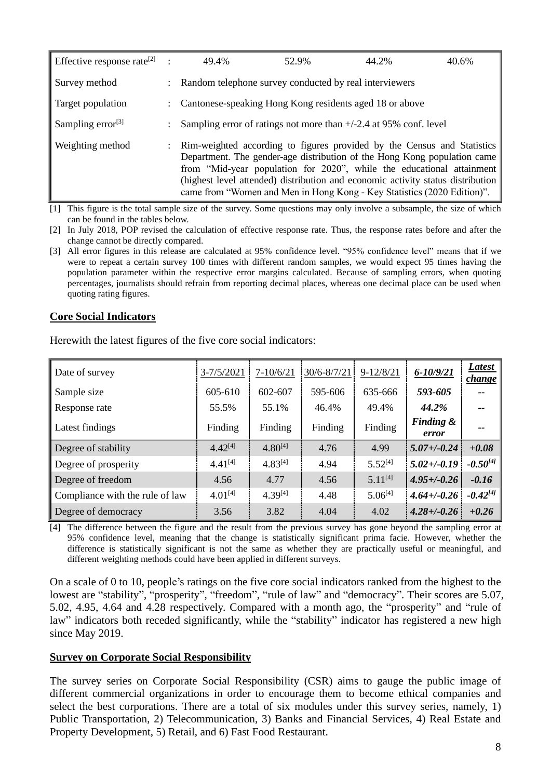| Effective response rate <sup>[2]</sup> : |               | 49.4%                                                                                                                                                                                                                                                                                                                                                                                      | 52.9% | 44.2% | 40.6% |
|------------------------------------------|---------------|--------------------------------------------------------------------------------------------------------------------------------------------------------------------------------------------------------------------------------------------------------------------------------------------------------------------------------------------------------------------------------------------|-------|-------|-------|
| Survey method                            |               | Random telephone survey conducted by real interviewers                                                                                                                                                                                                                                                                                                                                     |       |       |       |
| Target population                        |               | Cantonese-speaking Hong Kong residents aged 18 or above                                                                                                                                                                                                                                                                                                                                    |       |       |       |
| Sampling error $^{[3]}$                  |               | Sampling error of ratings not more than $+/-2.4$ at 95% conf. level                                                                                                                                                                                                                                                                                                                        |       |       |       |
| Weighting method                         | $\mathcal{L}$ | Rim-weighted according to figures provided by the Census and Statistics<br>Department. The gender-age distribution of the Hong Kong population came<br>from "Mid-year population for 2020", while the educational attainment<br>(highest level attended) distribution and economic activity status distribution<br>came from "Women and Men in Hong Kong - Key Statistics (2020 Edition)". |       |       |       |

[1] This figure is the total sample size of the survey. Some questions may only involve a subsample, the size of which can be found in the tables below.

[2] In July 2018, POP revised the calculation of effective response rate. Thus, the response rates before and after the change cannot be directly compared.

[3] All error figures in this release are calculated at 95% confidence level. "95% confidence level" means that if we were to repeat a certain survey 100 times with different random samples, we would expect 95 times having the population parameter within the respective error margins calculated. Because of sampling errors, when quoting percentages, journalists should refrain from reporting decimal places, whereas one decimal place can be used when quoting rating figures.

### **Core Social Indicators**

| Date of survey                  | $3 - 7/5/2021$ | $7 - 10/6/21$ | 30/6-8/7/21 | $9 - 12/8/21$ | $6 - 10/9/21$                 | <b>Latest</b><br><b>change</b> |
|---------------------------------|----------------|---------------|-------------|---------------|-------------------------------|--------------------------------|
| Sample size                     | 605-610        | 602-607       | 595-606     | 635-666       | 593-605                       |                                |
| Response rate                   | 55.5%          | 55.1%         | 46.4%       | 49.4%         | 44.2%                         | $\qquad \qquad -$              |
| Latest findings                 | Finding        | Finding       | Finding     | Finding       | <b>Finding &amp;</b><br>error | --                             |
| Degree of stability             | $4.42^{[4]}$   | $4.80^{[4]}$  | 4.76        | 4.99          | $5.07 + (-0.24)$              | $+0.08$                        |
| Degree of prosperity            | $4.41^{[4]}$   | $4.83^{[4]}$  | 4.94        | $5.52^{[4]}$  | $5.02 + (-0.19)$              | $-0.50^{[4]}$                  |
| Degree of freedom               | 4.56           | 4.77          | 4.56        | $5.11^{[4]}$  | $4.95 + (-0.26)$              | $-0.16$                        |
| Compliance with the rule of law | $4.01^{[4]}$   | $4.39^{[4]}$  | 4.48        | $5.06^{[4]}$  | $4.64 + (-0.26)$              | $-0.42^{[4]}$                  |
| Degree of democracy             | 3.56           | 3.82          | 4.04        | 4.02          | $4.28 + (-0.26)$              | $+0.26$                        |

Herewith the latest figures of the five core social indicators:

[4] The difference between the figure and the result from the previous survey has gone beyond the sampling error at 95% confidence level, meaning that the change is statistically significant prima facie. However, whether the difference is statistically significant is not the same as whether they are practically useful or meaningful, and different weighting methods could have been applied in different surveys.

On a scale of 0 to 10, people's ratings on the five core social indicators ranked from the highest to the lowest are "stability", "prosperity", "freedom", "rule of law" and "democracy". Their scores are 5.07, 5.02, 4.95, 4.64 and 4.28 respectively. Compared with a month ago, the "prosperity" and "rule of law" indicators both receded significantly, while the "stability" indicator has registered a new high since May 2019.

### **Survey on Corporate Social Responsibility**

The survey series on Corporate Social Responsibility (CSR) aims to gauge the public image of different commercial organizations in order to encourage them to become ethical companies and select the best corporations. There are a total of six modules under this survey series, namely, 1) Public Transportation, 2) Telecommunication, 3) Banks and Financial Services, 4) Real Estate and Property Development, 5) Retail, and 6) Fast Food Restaurant.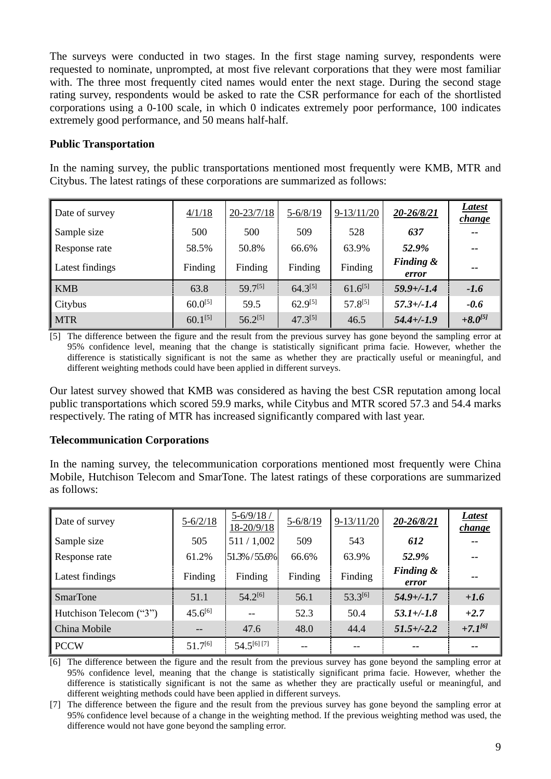The surveys were conducted in two stages. In the first stage naming survey, respondents were requested to nominate, unprompted, at most five relevant corporations that they were most familiar with. The three most frequently cited names would enter the next stage. During the second stage rating survey, respondents would be asked to rate the CSR performance for each of the shortlisted corporations using a 0-100 scale, in which 0 indicates extremely poor performance, 100 indicates extremely good performance, and 50 means half-half.

### **Public Transportation**

In the naming survey, the public transportations mentioned most frequently were KMB, MTR and Citybus. The latest ratings of these corporations are summarized as follows:

| Date of survey  | $\frac{4/1}{18}$ | $20 - 23/7/18$ | $5 - 6/8/19$ | $9-13/11/20$ | 20-26/8/21                    | Latest<br><u>change</u> |
|-----------------|------------------|----------------|--------------|--------------|-------------------------------|-------------------------|
| Sample size     | 500              | 500            | 509          | 528          | 637                           | $- -$                   |
| Response rate   | 58.5%            | 50.8%          | 66.6%        | 63.9%        | 52.9%                         | $- -$                   |
| Latest findings | Finding          | Finding        | Finding      | Finding      | <b>Finding &amp;</b><br>error | $- -$                   |
| <b>KMB</b>      | 63.8             | $59.7^{[5]}$   | $64.3^{[5]}$ | $61.6^{[5]}$ | $59.9 + (-1.4)$               | $-1.6$                  |
| Citybus         | $60.0^{[5]}$     | 59.5           | $62.9^{[5]}$ | $57.8^{[5]}$ | $57.3 + (-1.4)$               | $-0.6$                  |
| <b>MTR</b>      | $60.1^{[5]}$     | $56.2^{[5]}$   | $47.3^{[5]}$ | 46.5         | $54.4 + (-1.9)$               | $+8.0^{[5]}$            |

[5] The difference between the figure and the result from the previous survey has gone beyond the sampling error at 95% confidence level, meaning that the change is statistically significant prima facie. However, whether the difference is statistically significant is not the same as whether they are practically useful or meaningful, and different weighting methods could have been applied in different surveys.

Our latest survey showed that KMB was considered as having the best CSR reputation among local public transportations which scored 59.9 marks, while Citybus and MTR scored 57.3 and 54.4 marks respectively. The rating of MTR has increased significantly compared with last year.

### **Telecommunication Corporations**

In the naming survey, the telecommunication corporations mentioned most frequently were China Mobile, Hutchison Telecom and SmarTone. The latest ratings of these corporations are summarized as follows:

| Date of survey          | $5 - 6/2/18$ | $5 - 6/9/18$ /<br>18-20/9/18 | $5 - 6/8/19$ | $9-13/11/20$ | 20-26/8/21         | Latest<br>change |
|-------------------------|--------------|------------------------------|--------------|--------------|--------------------|------------------|
| Sample size             | 505          | 511/1,002                    | 509          | 543          | 612                | $- -$            |
| Response rate           | 61.2%        | 51.3% / 55.6%                | 66.6%        | 63.9%        | 52.9%              | --               |
| Latest findings         | Finding      | Finding                      | Finding      | Finding      | Finding &<br>error | --               |
| <b>SmarTone</b>         | 51.1         | $54.2^{[6]}$                 | 56.1         | 53.3[6]      | $54.9 + (-1.7)$    | $+1.6$           |
| Hutchison Telecom ("3") | $45.6^{[6]}$ | --                           | 52.3         | 50.4         | $53.1 + (-1.8)$    | $+2.7$           |
| China Mobile            | $- -$        | 47.6                         | 48.0         | 44.4         | $51.5 + (-2.2)$    | $+7.1^{6}$       |
| <b>PCCW</b>             | $51.7^{[6]}$ | $54.5^{[6][7]}$              |              |              |                    | --               |

[6] The difference between the figure and the result from the previous survey has gone beyond the sampling error at 95% confidence level, meaning that the change is statistically significant prima facie. However, whether the difference is statistically significant is not the same as whether they are practically useful or meaningful, and different weighting methods could have been applied in different surveys.

[7] The difference between the figure and the result from the previous survey has gone beyond the sampling error at 95% confidence level because of a change in the weighting method. If the previous weighting method was used, the difference would not have gone beyond the sampling error.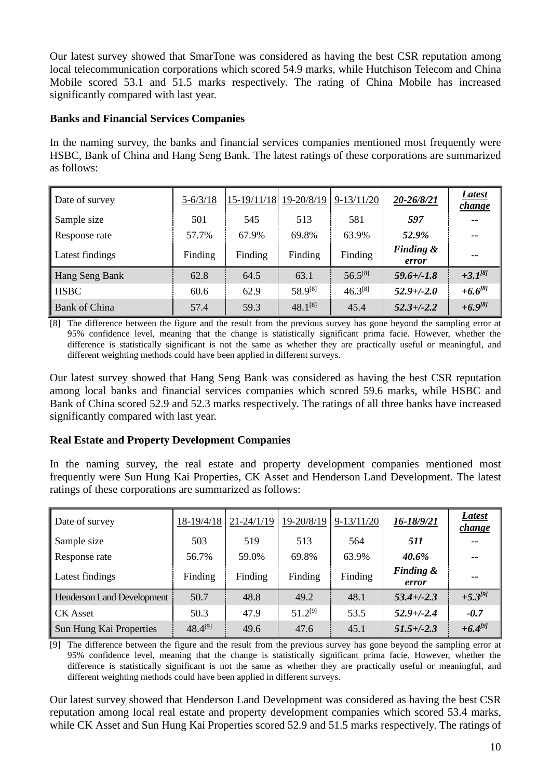Our latest survey showed that SmarTone was considered as having the best CSR reputation among local telecommunication corporations which scored 54.9 marks, while Hutchison Telecom and China Mobile scored 53.1 and 51.5 marks respectively. The rating of China Mobile has increased significantly compared with last year.

### **Banks and Financial Services Companies**

In the naming survey, the banks and financial services companies mentioned most frequently were HSBC, Bank of China and Hang Seng Bank. The latest ratings of these corporations are summarized as follows:

| Date of survey       | $5 - 6/3/18$ | 15-19/11/18 | 19-20/8/19   | $9-13/11/20$ | 20-26/8/21                    | Latest<br><i>change</i> |
|----------------------|--------------|-------------|--------------|--------------|-------------------------------|-------------------------|
| Sample size          | 501          | 545         | 513          | 581          | 597                           | $- -$                   |
| Response rate        | 57.7%        | 67.9%       | 69.8%        | 63.9%        | 52.9%                         | $- -$                   |
| Latest findings      | Finding      | Finding     | Finding      | Finding      | <b>Finding &amp;</b><br>error | $- -$                   |
| Hang Seng Bank       | 62.8         | 64.5        | 63.1         | $56.5^{[8]}$ | $59.6 +/-1.8$                 | $+3.1^{8}$              |
| <b>HSBC</b>          | 60.6         | 62.9        | 58.9[8]      | $46.3^{[8]}$ | $52.9 + (-2.0)$               | $+6.6^{[8]}$            |
| <b>Bank of China</b> | 57.4         | 59.3        | $48.1^{[8]}$ | 45.4         | $52.3 + (-2.2)$               | $+6.9^{[8]}$            |

[8] The difference between the figure and the result from the previous survey has gone beyond the sampling error at 95% confidence level, meaning that the change is statistically significant prima facie. However, whether the difference is statistically significant is not the same as whether they are practically useful or meaningful, and different weighting methods could have been applied in different surveys.

Our latest survey showed that Hang Seng Bank was considered as having the best CSR reputation among local banks and financial services companies which scored 59.6 marks, while HSBC and Bank of China scored 52.9 and 52.3 marks respectively. The ratings of all three banks have increased significantly compared with last year.

### **Real Estate and Property Development Companies**

In the naming survey, the real estate and property development companies mentioned most frequently were Sun Hung Kai Properties, CK Asset and Henderson Land Development. The latest ratings of these corporations are summarized as follows:

| Date of survey                    | 18-19/4/18   | $21 - 24/1/19$ | 19-20/8/19   | $9-13/11/20$ | 16-18/9/21         | Latest<br>change |
|-----------------------------------|--------------|----------------|--------------|--------------|--------------------|------------------|
| Sample size                       | 503          | 519            | 513          | 564          | 511                | --               |
| Response rate                     | 56.7%        | 59.0%          | 69.8%        | 63.9%        | 40.6%              | --               |
| Latest findings                   | Finding      | Finding        | Finding      | Finding      | Finding &<br>error | --               |
| <b>Henderson Land Development</b> | 50.7         | 48.8           | 49.2         | 48.1         | $53.4 + (-2.3)$    | $+5.3^{[9]}$     |
| <b>CK</b> Asset                   | 50.3         | 47.9           | $51.2^{[9]}$ | 53.5         | $52.9 + (-2.4)$    | $-0.7$           |
| Sun Hung Kai Properties           | $48.4^{[9]}$ | 49.6           | 47.6         | 45.1         | $51.5 + (-2.3)$    | $+6.4^{[9]}$     |

[9] The difference between the figure and the result from the previous survey has gone beyond the sampling error at 95% confidence level, meaning that the change is statistically significant prima facie. However, whether the difference is statistically significant is not the same as whether they are practically useful or meaningful, and different weighting methods could have been applied in different surveys.

Our latest survey showed that Henderson Land Development was considered as having the best CSR reputation among local real estate and property development companies which scored 53.4 marks, while CK Asset and Sun Hung Kai Properties scored 52.9 and 51.5 marks respectively. The ratings of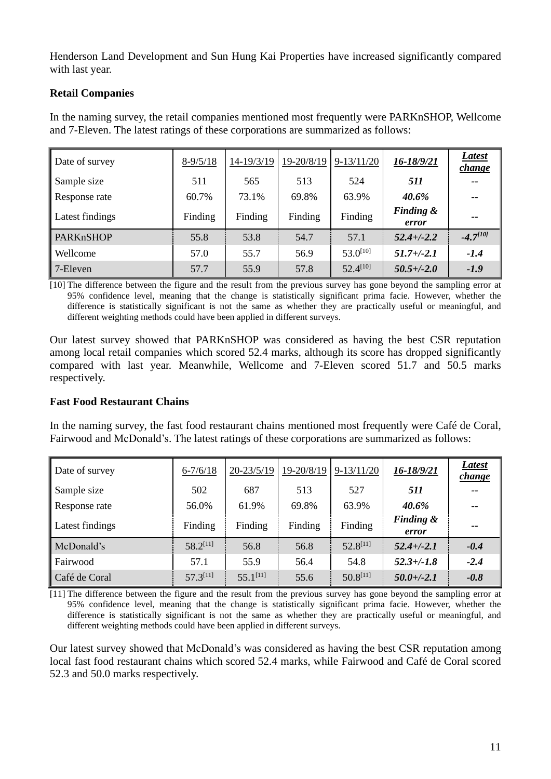Henderson Land Development and Sun Hung Kai Properties have increased significantly compared with last year.

### **Retail Companies**

In the naming survey, the retail companies mentioned most frequently were PARKnSHOP, Wellcome and 7-Eleven. The latest ratings of these corporations are summarized as follows:

| Date of survey   | $8-9/5/18$ | 14-19/3/19 | 19-20/8/19 | $9-13/11/20$  | 16-18/9/21                    | Latest<br><i>change</i> |
|------------------|------------|------------|------------|---------------|-------------------------------|-------------------------|
| Sample size      | 511        | 565        | 513        | 524           | 511                           | $- -$                   |
| Response rate    | 60.7%      | 73.1%      | 69.8%      | 63.9%         | 40.6%                         | $- -$                   |
| Latest findings  | Finding    | Finding    | Finding    | Finding       | <b>Finding &amp;</b><br>error | --                      |
| <b>PARKnSHOP</b> | 55.8       | 53.8       | 54.7       | 57.1          | $52.4 + (-2.2)$               | $-4.7^{[10]}$           |
| Wellcome         | 57.0       | 55.7       | 56.9       | $53.0^{[10]}$ | $51.7 + (-2.1)$               | $-1.4$                  |
| 7-Eleven         | 57.7       | 55.9       | 57.8       | $52.4^{[10]}$ | $50.5 + (-2.0)$               | $-1.9$                  |

[10] The difference between the figure and the result from the previous survey has gone beyond the sampling error at 95% confidence level, meaning that the change is statistically significant prima facie. However, whether the difference is statistically significant is not the same as whether they are practically useful or meaningful, and different weighting methods could have been applied in different surveys.

Our latest survey showed that PARKnSHOP was considered as having the best CSR reputation among local retail companies which scored 52.4 marks, although its score has dropped significantly compared with last year. Meanwhile, Wellcome and 7-Eleven scored 51.7 and 50.5 marks respectively.

### **Fast Food Restaurant Chains**

In the naming survey, the fast food restaurant chains mentioned most frequently were Café de Coral, Fairwood and McDonald's. The latest ratings of these corporations are summarized as follows:

| Date of survey  | $6 - 7/6/18$  | $20 - 23/5/19$ | 19-20/8/19 | $9-13/11/20$  | 16-18/9/21         | Latest<br><i>change</i> |
|-----------------|---------------|----------------|------------|---------------|--------------------|-------------------------|
| Sample size     | 502           | 687            | 513        | 527           | 511                | $- -$                   |
| Response rate   | 56.0%         | 61.9%          | 69.8%      | 63.9%         | 40.6%              | $- -$                   |
| Latest findings | Finding       | Finding        | Finding    | Finding       | Finding &<br>error | --                      |
| McDonald's      | $58.2^{[11]}$ | 56.8           | 56.8       | $52.8^{[11]}$ | $52.4 + (-2.1)$    | $-0.4$                  |
| Fairwood        | 57.1          | 55.9           | 56.4       | 54.8          | $52.3 + (-1.8)$    | $-2.4$                  |
| Café de Coral   | $57.3^{[11]}$ | $55.1^{[11]}$  | 55.6       | $50.8^{[11]}$ | $50.0 + (-2.1)$    | $-0.8$                  |

[11] The difference between the figure and the result from the previous survey has gone beyond the sampling error at 95% confidence level, meaning that the change is statistically significant prima facie. However, whether the difference is statistically significant is not the same as whether they are practically useful or meaningful, and different weighting methods could have been applied in different surveys.

Our latest survey showed that McDonald's was considered as having the best CSR reputation among local fast food restaurant chains which scored 52.4 marks, while Fairwood and Café de Coral scored 52.3 and 50.0 marks respectively.